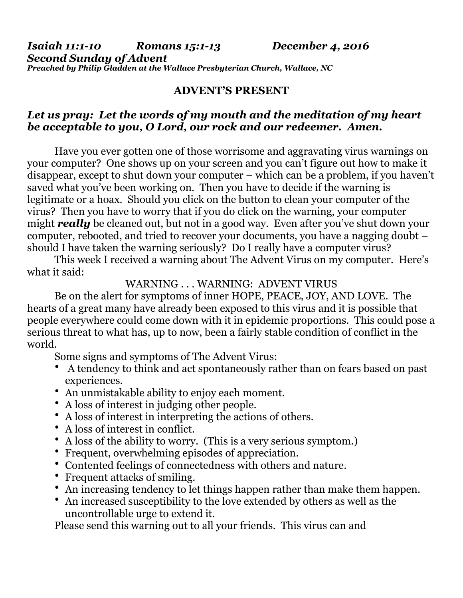*Isaiah 11:1-10 Romans 15:1-13 December 4, 2016 Second Sunday of Advent Preached by Philip Gladden at the Wallace Presbyterian Church, Wallace, NC*

## **ADVENT'S PRESENT**

## *Let us pray: Let the words of my mouth and the meditation of my heart be acceptable to you, O Lord, our rock and our redeemer. Amen.*

 Have you ever gotten one of those worrisome and aggravating virus warnings on your computer? One shows up on your screen and you can't figure out how to make it disappear, except to shut down your computer – which can be a problem, if you haven't saved what you've been working on. Then you have to decide if the warning is legitimate or a hoax. Should you click on the button to clean your computer of the virus? Then you have to worry that if you do click on the warning, your computer might *really* be cleaned out, but not in a good way. Even after you've shut down your computer, rebooted, and tried to recover your documents, you have a nagging doubt – should I have taken the warning seriously? Do I really have a computer virus?

 This week I received a warning about The Advent Virus on my computer. Here's what it said:

## WARNING . . . WARNING: ADVENT VIRUS

 Be on the alert for symptoms of inner HOPE, PEACE, JOY, AND LOVE. The hearts of a great many have already been exposed to this virus and it is possible that people everywhere could come down with it in epidemic proportions. This could pose a serious threat to what has, up to now, been a fairly stable condition of conflict in the world.

Some signs and symptoms of The Advent Virus:

- A tendency to think and act spontaneously rather than on fears based on past experiences.
- An unmistakable ability to enjoy each moment.
- A loss of interest in judging other people.
- A loss of interest in interpreting the actions of others.
- A loss of interest in conflict.
- A loss of the ability to worry. (This is a very serious symptom.)
- Frequent, overwhelming episodes of appreciation.
- Contented feelings of connectedness with others and nature.
- Frequent attacks of smiling.
- An increasing tendency to let things happen rather than make them happen.
- An increased susceptibility to the love extended by others as well as the uncontrollable urge to extend it.

Please send this warning out to all your friends. This virus can and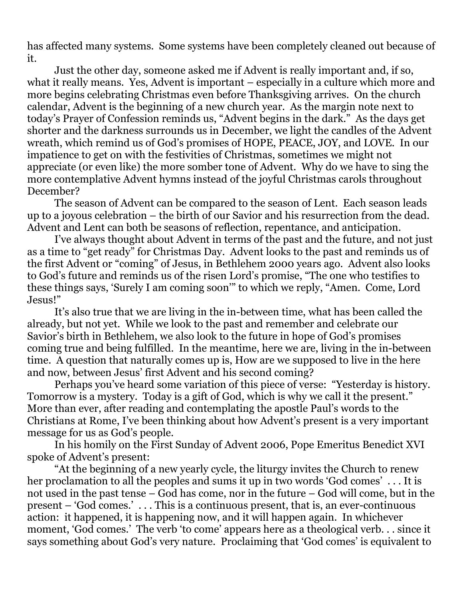has affected many systems. Some systems have been completely cleaned out because of it.

 Just the other day, someone asked me if Advent is really important and, if so, what it really means. Yes, Advent is important – especially in a culture which more and more begins celebrating Christmas even before Thanksgiving arrives. On the church calendar, Advent is the beginning of a new church year. As the margin note next to today's Prayer of Confession reminds us, "Advent begins in the dark." As the days get shorter and the darkness surrounds us in December, we light the candles of the Advent wreath, which remind us of God's promises of HOPE, PEACE, JOY, and LOVE. In our impatience to get on with the festivities of Christmas, sometimes we might not appreciate (or even like) the more somber tone of Advent. Why do we have to sing the more contemplative Advent hymns instead of the joyful Christmas carols throughout December?

 The season of Advent can be compared to the season of Lent. Each season leads up to a joyous celebration – the birth of our Savior and his resurrection from the dead. Advent and Lent can both be seasons of reflection, repentance, and anticipation.

 I've always thought about Advent in terms of the past and the future, and not just as a time to "get ready" for Christmas Day. Advent looks to the past and reminds us of the first Advent or "coming" of Jesus, in Bethlehem 2000 years ago. Advent also looks to God's future and reminds us of the risen Lord's promise, "The one who testifies to these things says, 'Surely I am coming soon'" to which we reply, "Amen. Come, Lord Jesus!"

 It's also true that we are living in the in-between time, what has been called the already, but not yet. While we look to the past and remember and celebrate our Savior's birth in Bethlehem, we also look to the future in hope of God's promises coming true and being fulfilled. In the meantime, here we are, living in the in-between time. A question that naturally comes up is, How are we supposed to live in the here and now, between Jesus' first Advent and his second coming?

 Perhaps you've heard some variation of this piece of verse: "Yesterday is history. Tomorrow is a mystery. Today is a gift of God, which is why we call it the present." More than ever, after reading and contemplating the apostle Paul's words to the Christians at Rome, I've been thinking about how Advent's present is a very important message for us as God's people.

 In his homily on the First Sunday of Advent 2006, Pope Emeritus Benedict XVI spoke of Advent's present:

 "At the beginning of a new yearly cycle, the liturgy invites the Church to renew her proclamation to all the peoples and sums it up in two words 'God comes' . . . It is not used in the past tense – God has come, nor in the future – God will come, but in the present – 'God comes.' . . . This is a continuous present, that is, an ever-continuous action: it happened, it is happening now, and it will happen again. In whichever moment, 'God comes.' The verb 'to come' appears here as a theological verb. . . since it says something about God's very nature. Proclaiming that 'God comes' is equivalent to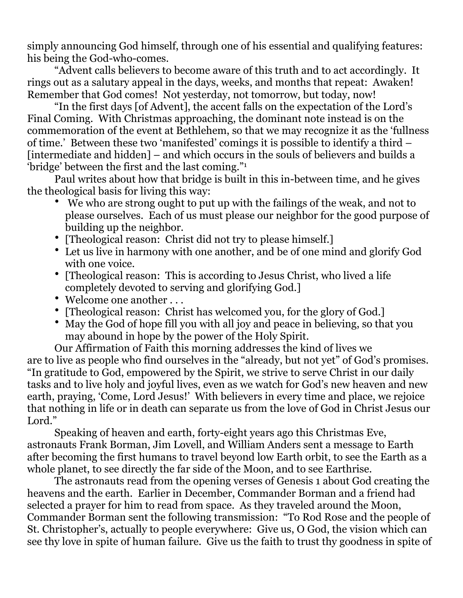simply announcing God himself, through one of his essential and qualifying features: his being the God-who-comes.

 "Advent calls believers to become aware of this truth and to act accordingly. It rings out as a salutary appeal in the days, weeks, and months that repeat: Awaken! Remember that God comes! Not yesterday, not tomorrow, but today, now!

 "In the first days [of Advent], the accent falls on the expectation of the Lord's Final Coming. With Christmas approaching, the dominant note instead is on the commemoration of the event at Bethlehem, so that we may recognize it as the 'fullness of time.' Between these two 'manifested' comings it is possible to identify a third – [intermediate and hidden] – and which occurs in the souls of believers and builds a 'bridge' between the first and the last coming."1

 Paul writes about how that bridge is built in this in-between time, and he gives the theological basis for living this way:

- We who are strong ought to put up with the failings of the weak, and not to please ourselves. Each of us must please our neighbor for the good purpose of building up the neighbor.
- [Theological reason: Christ did not try to please himself.]
- Let us live in harmony with one another, and be of one mind and glorify God with one voice.
- [Theological reason: This is according to Jesus Christ, who lived a life completely devoted to serving and glorifying God.]
- Welcome one another . . .
- [Theological reason: Christ has welcomed you, for the glory of God.]
- May the God of hope fill you with all joy and peace in believing, so that you may abound in hope by the power of the Holy Spirit.

Our Affirmation of Faith this morning addresses the kind of lives we are to live as people who find ourselves in the "already, but not yet" of God's promises. "In gratitude to God, empowered by the Spirit, we strive to serve Christ in our daily tasks and to live holy and joyful lives, even as we watch for God's new heaven and new earth, praying, 'Come, Lord Jesus!' With believers in every time and place, we rejoice that nothing in life or in death can separate us from the love of God in Christ Jesus our Lord."

 Speaking of heaven and earth, forty-eight years ago this Christmas Eve, astronauts Frank Borman, Jim Lovell, and William Anders sent a message to Earth after becoming the first humans to travel beyond low Earth orbit, to see the Earth as a whole planet, to see directly the far side of the Moon, and to see Earthrise.

 The astronauts read from the opening verses of Genesis 1 about God creating the heavens and the earth. Earlier in December, Commander Borman and a friend had selected a prayer for him to read from space. As they traveled around the Moon, Commander Borman sent the following transmission: "To Rod Rose and the people of St. Christopher's, actually to people everywhere: Give us, O God, the vision which can see thy love in spite of human failure. Give us the faith to trust thy goodness in spite of